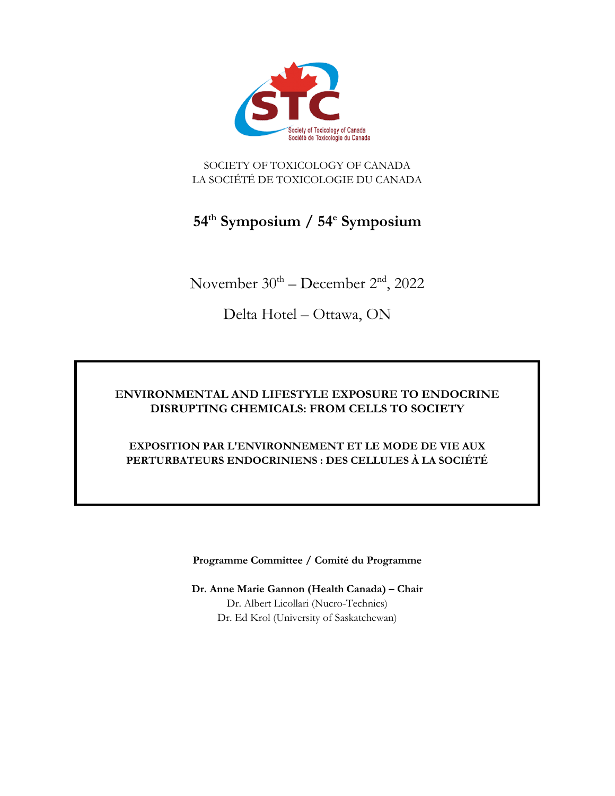

SOCIETY OF TOXICOLOGY OF CANADA LA SOCIÉTÉ DE TOXICOLOGIE DU CANADA

# **54th Symposium / 54e Symposium**

November  $30<sup>th</sup>$  – December  $2<sup>nd</sup>$ , 2022

Delta Hotel – Ottawa, ON

## **ENVIRONMENTAL AND LIFESTYLE EXPOSURE TO ENDOCRINE DISRUPTING CHEMICALS: FROM CELLS TO SOCIETY**

### **EXPOSITION PAR L'ENVIRONNEMENT ET LE MODE DE VIE AUX PERTURBATEURS ENDOCRINIENS : DES CELLULES À LA SOCIÉTÉ**

**Programme Committee / Comité du Programme** 

**Dr. Anne Marie Gannon (Health Canada) – Chair**  Dr. Albert Licollari (Nucro-Technics) Dr. Ed Krol (University of Saskatchewan)